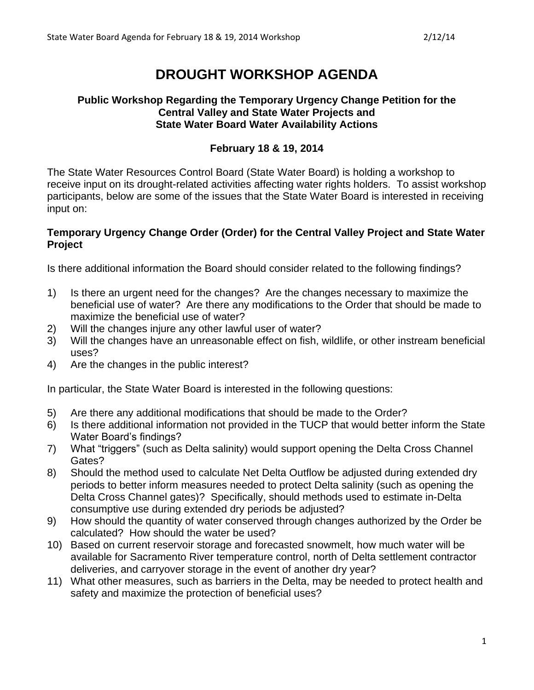# **DROUGHT WORKSHOP AGENDA**

#### **Public Workshop Regarding the Temporary Urgency Change Petition for the Central Valley and State Water Projects and State Water Board Water Availability Actions**

### **February 18 & 19, 2014**

The State Water Resources Control Board (State Water Board) is holding a workshop to receive input on its drought-related activities affecting water rights holders. To assist workshop participants, below are some of the issues that the State Water Board is interested in receiving input on:

#### **Temporary Urgency Change Order (Order) for the Central Valley Project and State Water Project**

Is there additional information the Board should consider related to the following findings?

- 1) Is there an urgent need for the changes? Are the changes necessary to maximize the beneficial use of water? Are there any modifications to the Order that should be made to maximize the beneficial use of water?
- 2) Will the changes injure any other lawful user of water?
- 3) Will the changes have an unreasonable effect on fish, wildlife, or other instream beneficial uses?
- 4) Are the changes in the public interest?

In particular, the State Water Board is interested in the following questions:

- 5) Are there any additional modifications that should be made to the Order?
- 6) Is there additional information not provided in the TUCP that would better inform the State Water Board's findings?
- 7) What "triggers" (such as Delta salinity) would support opening the Delta Cross Channel Gates?
- 8) Should the method used to calculate Net Delta Outflow be adjusted during extended dry periods to better inform measures needed to protect Delta salinity (such as opening the Delta Cross Channel gates)? Specifically, should methods used to estimate in-Delta consumptive use during extended dry periods be adjusted?
- 9) How should the quantity of water conserved through changes authorized by the Order be calculated? How should the water be used?
- 10) Based on current reservoir storage and forecasted snowmelt, how much water will be available for Sacramento River temperature control, north of Delta settlement contractor deliveries, and carryover storage in the event of another dry year?
- 11) What other measures, such as barriers in the Delta, may be needed to protect health and safety and maximize the protection of beneficial uses?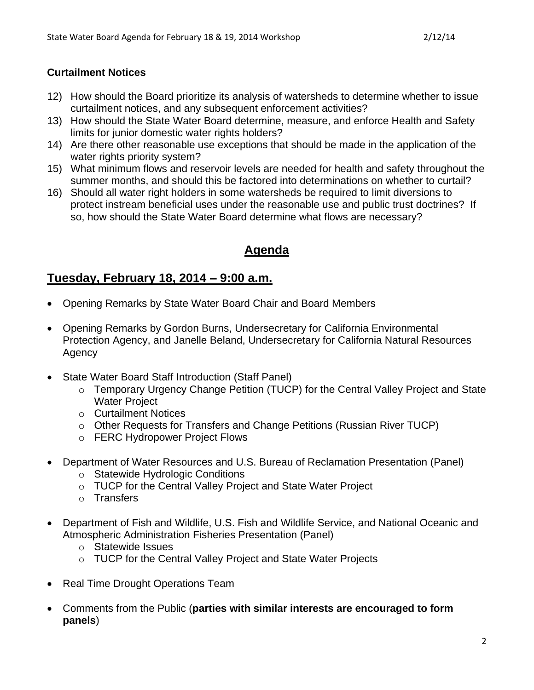### **Curtailment Notices**

- 12) How should the Board prioritize its analysis of watersheds to determine whether to issue curtailment notices, and any subsequent enforcement activities?
- 13) How should the State Water Board determine, measure, and enforce Health and Safety limits for junior domestic water rights holders?
- 14) Are there other reasonable use exceptions that should be made in the application of the water rights priority system?
- 15) What minimum flows and reservoir levels are needed for health and safety throughout the summer months, and should this be factored into determinations on whether to curtail?
- 16) Should all water right holders in some watersheds be required to limit diversions to protect instream beneficial uses under the reasonable use and public trust doctrines? If so, how should the State Water Board determine what flows are necessary?

## **Agenda**

## **Tuesday, February 18, 2014 – 9:00 a.m.**

- Opening Remarks by State Water Board Chair and Board Members
- Opening Remarks by Gordon Burns, Undersecretary for California Environmental Protection Agency, and Janelle Beland, Undersecretary for California Natural Resources Agency
- State Water Board Staff Introduction (Staff Panel)
	- o Temporary Urgency Change Petition (TUCP) for the Central Valley Project and State Water Project
	- o Curtailment Notices
	- o Other Requests for Transfers and Change Petitions (Russian River TUCP)
	- o FERC Hydropower Project Flows
- Department of Water Resources and U.S. Bureau of Reclamation Presentation (Panel)
	- o Statewide Hydrologic Conditions
	- o TUCP for the Central Valley Project and State Water Project
	- o Transfers
- Department of Fish and Wildlife, U.S. Fish and Wildlife Service, and National Oceanic and Atmospheric Administration Fisheries Presentation (Panel)
	- o Statewide Issues
	- o TUCP for the Central Valley Project and State Water Projects
- Real Time Drought Operations Team
- Comments from the Public (**parties with similar interests are encouraged to form panels**)